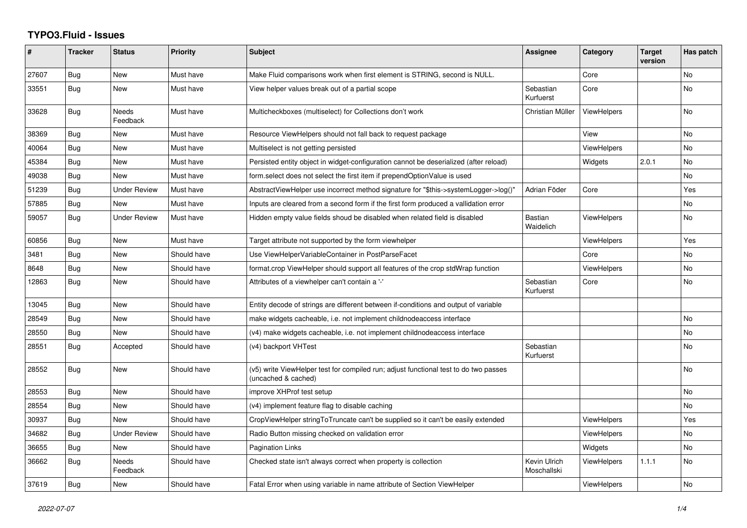## **TYPO3.Fluid - Issues**

| ∦     | <b>Tracker</b> | <b>Status</b>            | Priority    | <b>Subject</b>                                                                                              | Assignee                    | Category           | <b>Target</b><br>version | Has patch |
|-------|----------------|--------------------------|-------------|-------------------------------------------------------------------------------------------------------------|-----------------------------|--------------------|--------------------------|-----------|
| 27607 | <b>Bug</b>     | New                      | Must have   | Make Fluid comparisons work when first element is STRING, second is NULL.                                   |                             | Core               |                          | No        |
| 33551 | Bug            | New                      | Must have   | View helper values break out of a partial scope                                                             | Sebastian<br>Kurfuerst      | Core               |                          | <b>No</b> |
| 33628 | Bug            | <b>Needs</b><br>Feedback | Must have   | Multicheckboxes (multiselect) for Collections don't work                                                    | Christian Müller            | <b>ViewHelpers</b> |                          | <b>No</b> |
| 38369 | Bug            | New                      | Must have   | Resource ViewHelpers should not fall back to request package                                                |                             | View               |                          | No.       |
| 40064 | Bug            | New                      | Must have   | Multiselect is not getting persisted                                                                        |                             | ViewHelpers        |                          | <b>No</b> |
| 45384 | Bug            | New                      | Must have   | Persisted entity object in widget-configuration cannot be deserialized (after reload)                       |                             | Widgets            | 2.0.1                    | <b>No</b> |
| 49038 | Bug            | New                      | Must have   | form select does not select the first item if prependOptionValue is used                                    |                             |                    |                          | No        |
| 51239 | Bug            | <b>Under Review</b>      | Must have   | AbstractViewHelper use incorrect method signature for "\$this->systemLogger->log()"                         | Adrian Föder                | Core               |                          | Yes       |
| 57885 | <b>Bug</b>     | <b>New</b>               | Must have   | Inputs are cleared from a second form if the first form produced a vallidation error                        |                             |                    |                          | No        |
| 59057 | Bug            | <b>Under Review</b>      | Must have   | Hidden empty value fields shoud be disabled when related field is disabled                                  | Bastian<br>Waidelich        | <b>ViewHelpers</b> |                          | No        |
| 60856 | Bug            | <b>New</b>               | Must have   | Target attribute not supported by the form viewhelper                                                       |                             | <b>ViewHelpers</b> |                          | Yes       |
| 3481  | Bug            | New                      | Should have | Use ViewHelperVariableContainer in PostParseFacet                                                           |                             | Core               |                          | <b>No</b> |
| 8648  | Bug            | New                      | Should have | format.crop ViewHelper should support all features of the crop stdWrap function                             |                             | <b>ViewHelpers</b> |                          | No        |
| 12863 | Bug            | <b>New</b>               | Should have | Attributes of a viewhelper can't contain a '-'                                                              | Sebastian<br>Kurfuerst      | Core               |                          | <b>No</b> |
| 13045 | <b>Bug</b>     | New                      | Should have | Entity decode of strings are different between if-conditions and output of variable                         |                             |                    |                          |           |
| 28549 | <b>Bug</b>     | <b>New</b>               | Should have | make widgets cacheable, i.e. not implement childnodeaccess interface                                        |                             |                    |                          | No        |
| 28550 | Bug            | New                      | Should have | (v4) make widgets cacheable, i.e. not implement childnodeaccess interface                                   |                             |                    |                          | <b>No</b> |
| 28551 | Bug            | Accepted                 | Should have | (v4) backport VHTest                                                                                        | Sebastian<br>Kurfuerst      |                    |                          | <b>No</b> |
| 28552 | Bug            | New                      | Should have | (v5) write ViewHelper test for compiled run; adjust functional test to do two passes<br>(uncached & cached) |                             |                    |                          | No        |
| 28553 | Bug            | New                      | Should have | improve XHProf test setup                                                                                   |                             |                    |                          | <b>No</b> |
| 28554 | <b>Bug</b>     | New                      | Should have | (v4) implement feature flag to disable caching                                                              |                             |                    |                          | <b>No</b> |
| 30937 | Bug            | <b>New</b>               | Should have | CropViewHelper stringToTruncate can't be supplied so it can't be easily extended                            |                             | <b>ViewHelpers</b> |                          | Yes       |
| 34682 | Bug            | <b>Under Review</b>      | Should have | Radio Button missing checked on validation error                                                            |                             | <b>ViewHelpers</b> |                          | <b>No</b> |
| 36655 | <b>Bug</b>     | New                      | Should have | Pagination Links                                                                                            |                             | Widgets            |                          | <b>No</b> |
| 36662 | Bug            | <b>Needs</b><br>Feedback | Should have | Checked state isn't always correct when property is collection                                              | Kevin Ulrich<br>Moschallski | <b>ViewHelpers</b> | 1.1.1                    | No        |
| 37619 | Bug            | New                      | Should have | Fatal Error when using variable in name attribute of Section ViewHelper                                     |                             | ViewHelpers        |                          | <b>No</b> |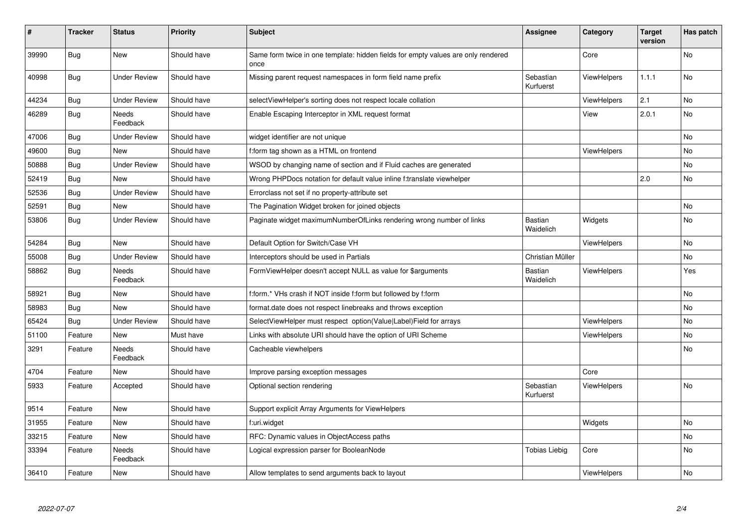| $\sharp$ | <b>Tracker</b> | <b>Status</b>       | <b>Priority</b> | <b>Subject</b>                                                                            | <b>Assignee</b>        | Category           | <b>Target</b><br>version | Has patch |
|----------|----------------|---------------------|-----------------|-------------------------------------------------------------------------------------------|------------------------|--------------------|--------------------------|-----------|
| 39990    | <b>Bug</b>     | <b>New</b>          | Should have     | Same form twice in one template: hidden fields for empty values are only rendered<br>once |                        | Core               |                          | <b>No</b> |
| 40998    | <b>Bug</b>     | Under Review        | Should have     | Missing parent request namespaces in form field name prefix                               | Sebastian<br>Kurfuerst | <b>ViewHelpers</b> | 1.1.1                    | No        |
| 44234    | <b>Bug</b>     | <b>Under Review</b> | Should have     | selectViewHelper's sorting does not respect locale collation                              |                        | ViewHelpers        | 2.1                      | <b>No</b> |
| 46289    | Bug            | Needs<br>Feedback   | Should have     | Enable Escaping Interceptor in XML request format                                         |                        | View               | 2.0.1                    | No        |
| 47006    | <b>Bug</b>     | Under Review        | Should have     | widget identifier are not unique                                                          |                        |                    |                          | <b>No</b> |
| 49600    | <b>Bug</b>     | New                 | Should have     | f:form tag shown as a HTML on frontend                                                    |                        | <b>ViewHelpers</b> |                          | No        |
| 50888    | Bug            | <b>Under Review</b> | Should have     | WSOD by changing name of section and if Fluid caches are generated                        |                        |                    |                          | No        |
| 52419    | <b>Bug</b>     | <b>New</b>          | Should have     | Wrong PHPDocs notation for default value inline f:translate viewhelper                    |                        |                    | 2.0                      | No        |
| 52536    | <b>Bug</b>     | <b>Under Review</b> | Should have     | Errorclass not set if no property-attribute set                                           |                        |                    |                          |           |
| 52591    | <b>Bug</b>     | New                 | Should have     | The Pagination Widget broken for joined objects                                           |                        |                    |                          | No        |
| 53806    | <b>Bug</b>     | Under Review        | Should have     | Paginate widget maximumNumberOfLinks rendering wrong number of links                      | Bastian<br>Waidelich   | Widgets            |                          | No        |
| 54284    | Bug            | New                 | Should have     | Default Option for Switch/Case VH                                                         |                        | ViewHelpers        |                          | <b>No</b> |
| 55008    | Bug            | Under Review        | Should have     | Interceptors should be used in Partials                                                   | Christian Müller       |                    |                          | No        |
| 58862    | Bug            | Needs<br>Feedback   | Should have     | FormViewHelper doesn't accept NULL as value for \$arguments                               | Bastian<br>Waidelich   | ViewHelpers        |                          | Yes       |
| 58921    | <b>Bug</b>     | New                 | Should have     | f:form.* VHs crash if NOT inside f:form but followed by f:form                            |                        |                    |                          | No        |
| 58983    | Bug            | New                 | Should have     | format.date does not respect linebreaks and throws exception                              |                        |                    |                          | No        |
| 65424    | Bug            | <b>Under Review</b> | Should have     | SelectViewHelper must respect option(Value Label)Field for arrays                         |                        | ViewHelpers        |                          | <b>No</b> |
| 51100    | Feature        | New                 | Must have       | Links with absolute URI should have the option of URI Scheme                              |                        | <b>ViewHelpers</b> |                          | No        |
| 3291     | Feature        | Needs<br>Feedback   | Should have     | Cacheable viewhelpers                                                                     |                        |                    |                          | No        |
| 4704     | Feature        | New                 | Should have     | Improve parsing exception messages                                                        |                        | Core               |                          |           |
| 5933     | Feature        | Accepted            | Should have     | Optional section rendering                                                                | Sebastian<br>Kurfuerst | ViewHelpers        |                          | No        |
| 9514     | Feature        | New                 | Should have     | Support explicit Array Arguments for ViewHelpers                                          |                        |                    |                          |           |
| 31955    | Feature        | New                 | Should have     | f:uri.widget                                                                              |                        | Widgets            |                          | <b>No</b> |
| 33215    | Feature        | New                 | Should have     | RFC: Dynamic values in ObjectAccess paths                                                 |                        |                    |                          | No        |
| 33394    | Feature        | Needs<br>Feedback   | Should have     | Logical expression parser for BooleanNode                                                 | Tobias Liebig          | Core               |                          | No        |
| 36410    | Feature        | New                 | Should have     | Allow templates to send arguments back to layout                                          |                        | ViewHelpers        |                          | No        |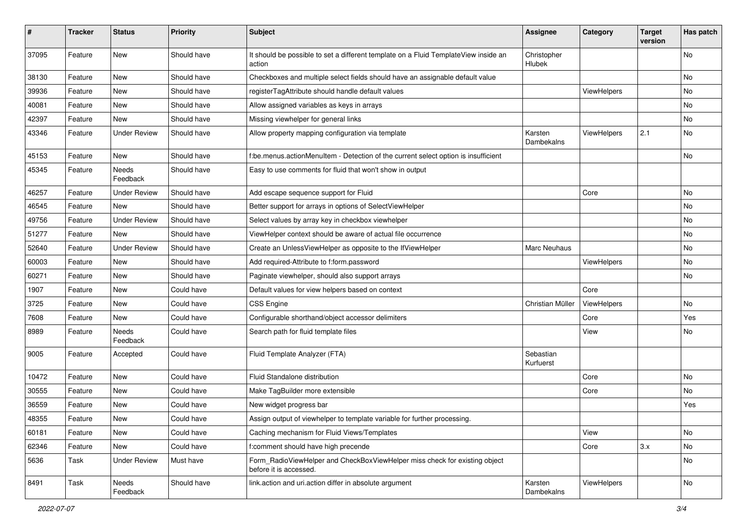| #     | <b>Tracker</b> | <b>Status</b>            | <b>Priority</b> | <b>Subject</b>                                                                                       | <b>Assignee</b>        | Category    | <b>Target</b><br>version | Has patch |
|-------|----------------|--------------------------|-----------------|------------------------------------------------------------------------------------------------------|------------------------|-------------|--------------------------|-----------|
| 37095 | Feature        | New                      | Should have     | It should be possible to set a different template on a Fluid TemplateView inside an<br>action        | Christopher<br>Hlubek  |             |                          | No        |
| 38130 | Feature        | New                      | Should have     | Checkboxes and multiple select fields should have an assignable default value                        |                        |             |                          | No        |
| 39936 | Feature        | New                      | Should have     | registerTagAttribute should handle default values                                                    |                        | ViewHelpers |                          | No        |
| 40081 | Feature        | New                      | Should have     | Allow assigned variables as keys in arrays                                                           |                        |             |                          | No        |
| 42397 | Feature        | <b>New</b>               | Should have     | Missing viewhelper for general links                                                                 |                        |             |                          | No.       |
| 43346 | Feature        | <b>Under Review</b>      | Should have     | Allow property mapping configuration via template                                                    | Karsten<br>Dambekalns  | ViewHelpers | 2.1                      | No        |
| 45153 | Feature        | New                      | Should have     | f:be.menus.actionMenuItem - Detection of the current select option is insufficient                   |                        |             |                          | No        |
| 45345 | Feature        | Needs<br>Feedback        | Should have     | Easy to use comments for fluid that won't show in output                                             |                        |             |                          |           |
| 46257 | Feature        | <b>Under Review</b>      | Should have     | Add escape sequence support for Fluid                                                                |                        | Core        |                          | No        |
| 46545 | Feature        | New                      | Should have     | Better support for arrays in options of SelectViewHelper                                             |                        |             |                          | No        |
| 49756 | Feature        | <b>Under Review</b>      | Should have     | Select values by array key in checkbox viewhelper                                                    |                        |             |                          | No        |
| 51277 | Feature        | New                      | Should have     | ViewHelper context should be aware of actual file occurrence                                         |                        |             |                          | No        |
| 52640 | Feature        | <b>Under Review</b>      | Should have     | Create an UnlessViewHelper as opposite to the IfViewHelper                                           | <b>Marc Neuhaus</b>    |             |                          | No        |
| 60003 | Feature        | New                      | Should have     | Add required-Attribute to f:form.password                                                            |                        | ViewHelpers |                          | No        |
| 60271 | Feature        | New                      | Should have     | Paginate viewhelper, should also support arrays                                                      |                        |             |                          | No        |
| 1907  | Feature        | New                      | Could have      | Default values for view helpers based on context                                                     |                        | Core        |                          |           |
| 3725  | Feature        | New                      | Could have      | <b>CSS Engine</b>                                                                                    | Christian Müller       | ViewHelpers |                          | No        |
| 7608  | Feature        | New                      | Could have      | Configurable shorthand/object accessor delimiters                                                    |                        | Core        |                          | Yes       |
| 8989  | Feature        | <b>Needs</b><br>Feedback | Could have      | Search path for fluid template files                                                                 |                        | View        |                          | No        |
| 9005  | Feature        | Accepted                 | Could have      | Fluid Template Analyzer (FTA)                                                                        | Sebastian<br>Kurfuerst |             |                          |           |
| 10472 | Feature        | <b>New</b>               | Could have      | Fluid Standalone distribution                                                                        |                        | Core        |                          | No.       |
| 30555 | Feature        | New                      | Could have      | Make TagBuilder more extensible                                                                      |                        | Core        |                          | No        |
| 36559 | Feature        | New                      | Could have      | New widget progress bar                                                                              |                        |             |                          | Yes       |
| 48355 | Feature        | New                      | Could have      | Assign output of viewhelper to template variable for further processing.                             |                        |             |                          |           |
| 60181 | Feature        | New                      | Could have      | Caching mechanism for Fluid Views/Templates                                                          |                        | View        |                          | No        |
| 62346 | Feature        | New                      | Could have      | f:comment should have high precende                                                                  |                        | Core        | 3.x                      | No        |
| 5636  | Task           | <b>Under Review</b>      | Must have       | Form_RadioViewHelper and CheckBoxViewHelper miss check for existing object<br>before it is accessed. |                        |             |                          | No        |
| 8491  | Task           | Needs<br>Feedback        | Should have     | link.action and uri.action differ in absolute argument                                               | Karsten<br>Dambekalns  | ViewHelpers |                          | No        |